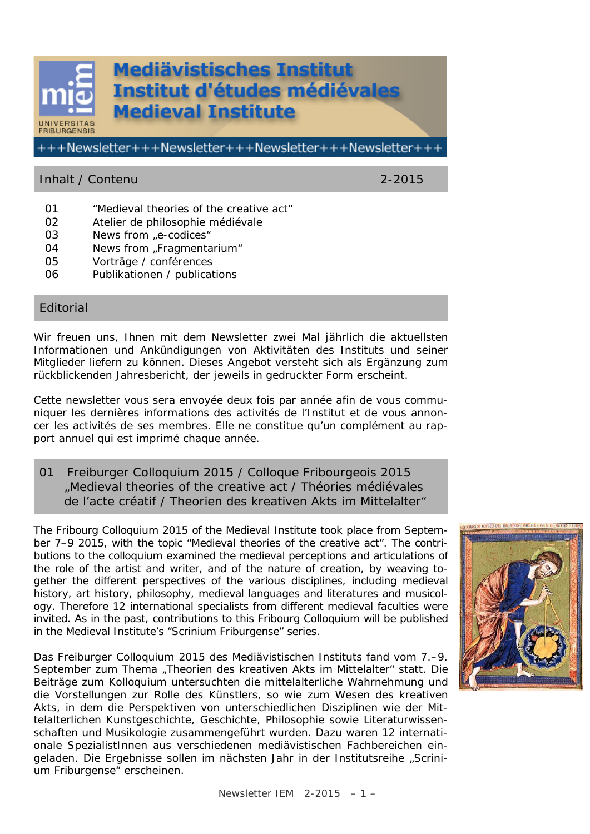# **Mediävistisches Institut Institut d'études médiévales Medieval Institute INIVERSI ERIBLIRGENSIS** +++Newsletter+++Newsletter+++Newsletter+++Newsletter+++

# Inhalt / Contenu 2-2015

- 01 "Medieval theories of the creative act"
- 02 Atelier de philosophie médiévale
- 03 News from "e-codices"
- 04 News from "Fragmentarium"
- 05 Vorträge / conférences
- 06 Publikationen / publications

# Editorial

Wir freuen uns, Ihnen mit dem Newsletter zwei Mal jährlich die aktuellsten Informationen und Ankündigungen von Aktivitäten des Instituts und seiner Mitglieder liefern zu können. Dieses Angebot versteht sich als Ergänzung zum rückblickenden Jahresbericht, der jeweils in gedruckter Form erscheint.

Cette newsletter vous sera envoyée deux fois par année afin de vous communiquer les dernières informations des activités de l'Institut et de vous annoncer les activités de ses membres. Elle ne constitue qu'un complément au rapport annuel qui est imprimé chaque année.

01 Freiburger Colloquium 2015 / Colloque Fribourgeois 2015 "Medieval theories of the creative act / Théories médiévales de l'acte créatif / Theorien des kreativen Akts im Mittelalter"

The Fribourg Colloquium 2015 of the Medieval Institute took place from September 7–9 2015, with the topic "Medieval theories of the creative act". The contributions to the colloquium examined the medieval perceptions and articulations of the role of the artist and writer, and of the nature of creation, by weaving together the different perspectives of the various disciplines, including medieval history, art history, philosophy, medieval languages and literatures and musicology. Therefore 12 international specialists from different medieval faculties were invited. As in the past, contributions to this Fribourg Colloquium will be published in the Medieval Institute's "Scrinium Friburgense" series.

Das Freiburger Colloquium 2015 des Mediävistischen Instituts fand vom 7.–9. September zum Thema "Theorien des kreativen Akts im Mittelalter" statt. Die Beiträge zum Kolloquium untersuchten die mittelalterliche Wahrnehmung und die Vorstellungen zur Rolle des Künstlers, so wie zum Wesen des kreativen Akts, in dem die Perspektiven von unterschiedlichen Disziplinen wie der Mittelalterlichen Kunstgeschichte, Geschichte, Philosophie sowie Literaturwissenschaften und Musikologie zusammengeführt wurden. Dazu waren 12 internationale SpezialistInnen aus verschiedenen mediävistischen Fachbereichen eingeladen. Die Ergebnisse sollen im nächsten Jahr in der Institutsreihe "Scrinium Friburgense" erscheinen.

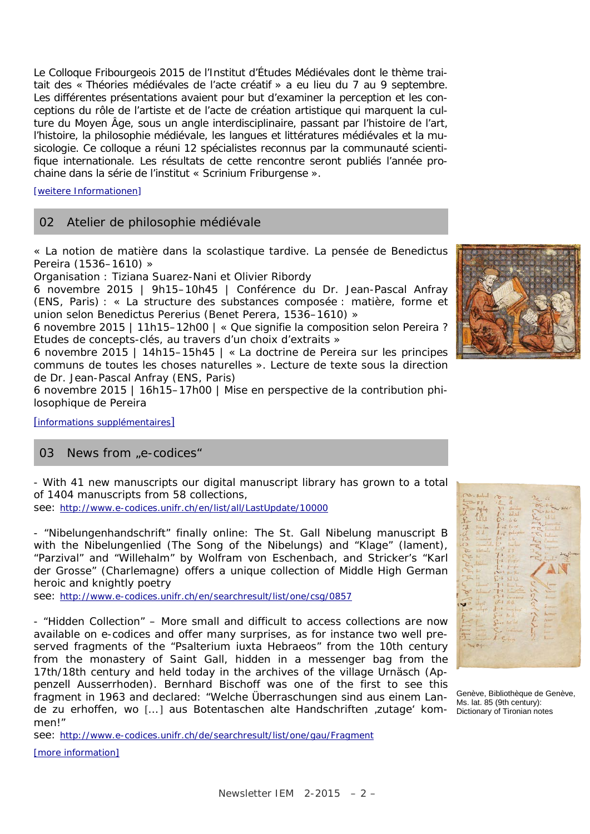Le Colloque Fribourgeois 2015 de l'Institut d'Études Médiévales dont le thème traitait des « Théories médiévales de l'acte créatif » a eu lieu du 7 au 9 septembre. Les différentes présentations avaient pour but d'examiner la perception et les conceptions du rôle de l'artiste et de l'acte de création artistique qui marquent la culture du Moyen Âge, sous un angle interdisciplinaire, passant par l'histoire de l'art, l'histoire, la philosophie médiévale, les langues et littératures médiévales et la musicologie. Ce colloque a réuni 12 spécialistes reconnus par la communauté scientifique internationale. Les résultats de cette rencontre seront publiés l'année prochaine dans la série de l'institut « Scrinium Friburgense ».

[\[weitere Informationen\]](http://www.mediaevum.unifr.ch/creative_acts/d/home.html)

# 02 Atelier de philosophie médiévale

« La notion de matière dans la scolastique tardive. La pensée de Benedictus Pereira (1536–1610) »

Organisation : Tiziana Suarez-Nani et Olivier Ribordy

6 novembre 2015 | 9h15–10h45 | Conférence du Dr. Jean-Pascal Anfray (ENS, Paris) : « La structure des substances composée : matière, forme et union selon Benedictus Pererius (Benet Perera, 1536–1610) »

6 novembre 2015 | 11h15–12h00 | « Que signifie la composition selon Pereira ? Etudes de concepts-clés, au travers d'un choix d'extraits »

6 novembre 2015 | 14h15–15h45 | « La doctrine de Pereira sur les principes communs de toutes les choses naturelles ». Lecture de texte sous la direction de Dr. Jean-Pascal Anfray (ENS, Paris)

6 novembre 2015 | 16h15–17h00 | Mise en perspective de la contribution philosophique de Pereira

[[informations supplémentaires](http://www.mediaevum.unifr.ch/f/branches/philosophie/evenements.htm)]

#### 03 News from "e-codices"

- With 41 new manuscripts our digital manuscript library has grown to a total of 1404 manuscripts from 58 collections,

see:<http://www.e-codices.unifr.ch/en/list/all/LastUpdate/10000>

- "Nibelungenhandschrift" finally online: The St. Gall Nibelung manuscript B with the Nibelungenlied (The Song of the Nibelungs) and "Klage" (lament), "Parzival" and "Willehalm" by Wolfram von Eschenbach, and Stricker's "Karl der Grosse" (Charlemagne) offers a unique collection of Middle High German heroic and knightly poetry

see:<http://www.e-codices.unifr.ch/en/searchresult/list/one/csg/0857>

- "Hidden Collection" – More small and difficult to access collections are now available on e-codices and offer many surprises, as for instance two well preserved fragments of the "Psalterium iuxta Hebraeos" from the 10th century from the monastery of Saint Gall, hidden in a messenger bag from the 17th/18th century and held today in the archives of the village Urnäsch (Appenzell Ausserrhoden). Bernhard Bischoff was one of the first to see this fragment in 1963 and declared: "Welche Überraschungen sind aus einem Lande zu erhoffen, wo [...] aus Botentaschen alte Handschriften zutage' kom- Dictionary of Tironian notes men!"

see:<http://www.e-codices.unifr.ch/de/searchresult/list/one/gau/Fragment>

[\[more information\]](http://www.e-codices.unifr.ch/en)



| $\begin{picture}(130,10) \put(0,0){\vector(1,0){30}} \put(15,0){\vector(1,0){30}} \put(15,0){\vector(1,0){30}} \put(15,0){\vector(1,0){30}} \put(15,0){\vector(1,0){30}} \put(15,0){\vector(1,0){30}} \put(15,0){\vector(1,0){30}} \put(15,0){\vector(1,0){30}} \put(15,0){\vector(1,0){30}} \put(15,0){\vector(1,0){30}} \put(15,0){\vector(1,0){30}} \put(15,0){\vector($<br>AALES |
|--------------------------------------------------------------------------------------------------------------------------------------------------------------------------------------------------------------------------------------------------------------------------------------------------------------------------------------------------------------------------------------|
|                                                                                                                                                                                                                                                                                                                                                                                      |
|                                                                                                                                                                                                                                                                                                                                                                                      |
|                                                                                                                                                                                                                                                                                                                                                                                      |
|                                                                                                                                                                                                                                                                                                                                                                                      |
|                                                                                                                                                                                                                                                                                                                                                                                      |
|                                                                                                                                                                                                                                                                                                                                                                                      |
| $\overline{J}$ $\overline{J}$ $\overline{J}$ $\overline{J}$ $\overline{J}$ $\overline{J}$ $\overline{J}$ $\overline{J}$ $\overline{J}$ $\overline{J}$ $\overline{J}$<br>1.00                                                                                                                                                                                                         |
|                                                                                                                                                                                                                                                                                                                                                                                      |
|                                                                                                                                                                                                                                                                                                                                                                                      |
|                                                                                                                                                                                                                                                                                                                                                                                      |
|                                                                                                                                                                                                                                                                                                                                                                                      |
| $\begin{picture}(120,115) \put(0,0){\line(1,0){155}} \put(15,0){\line(1,0){155}} \put(15,0){\line(1,0){155}} \put(15,0){\line(1,0){155}} \put(15,0){\line(1,0){155}} \put(15,0){\line(1,0){155}} \put(15,0){\line(1,0){155}} \put(15,0){\line(1,0){155}} \put(15,0){\line(1,0){155}} \put(15,0){\line(1,0){155}} \put(15,0){\line(1,0){155$                                          |
|                                                                                                                                                                                                                                                                                                                                                                                      |
|                                                                                                                                                                                                                                                                                                                                                                                      |
|                                                                                                                                                                                                                                                                                                                                                                                      |
|                                                                                                                                                                                                                                                                                                                                                                                      |
|                                                                                                                                                                                                                                                                                                                                                                                      |
|                                                                                                                                                                                                                                                                                                                                                                                      |
|                                                                                                                                                                                                                                                                                                                                                                                      |
|                                                                                                                                                                                                                                                                                                                                                                                      |
| <b>Lummer</b><br>$\begin{picture}(20,10) \put(0,0){\line(1,0){10}} \put(15,0){\line(1,0){10}} \put(15,0){\line(1,0){10}} \put(15,0){\line(1,0){10}} \put(15,0){\line(1,0){10}} \put(15,0){\line(1,0){10}} \put(15,0){\line(1,0){10}} \put(15,0){\line(1,0){10}} \put(15,0){\line(1,0){10}} \put(15,0){\line(1,0){10}} \put(15,0){\line(1,0){10}} \put(15,0){\line(1$                 |
|                                                                                                                                                                                                                                                                                                                                                                                      |
|                                                                                                                                                                                                                                                                                                                                                                                      |
|                                                                                                                                                                                                                                                                                                                                                                                      |
|                                                                                                                                                                                                                                                                                                                                                                                      |
|                                                                                                                                                                                                                                                                                                                                                                                      |
| $3 - 1$<br>Independent<br>Long Line<br>$L_{\odot}$                                                                                                                                                                                                                                                                                                                                   |
|                                                                                                                                                                                                                                                                                                                                                                                      |
| スライン<br>$\frac{1}{L}$<br>ad i<br>$B - \lambda$<br>$S-1$                                                                                                                                                                                                                                                                                                                              |
| $S_{\text{eff}}$                                                                                                                                                                                                                                                                                                                                                                     |
| Four-                                                                                                                                                                                                                                                                                                                                                                                |
| $C_{\epsilon}$ form<br>Lorge                                                                                                                                                                                                                                                                                                                                                         |
|                                                                                                                                                                                                                                                                                                                                                                                      |
| $\frac{1}{2}$<br>LCHA<br>Burn                                                                                                                                                                                                                                                                                                                                                        |
|                                                                                                                                                                                                                                                                                                                                                                                      |
| $+$ The Digity                                                                                                                                                                                                                                                                                                                                                                       |
|                                                                                                                                                                                                                                                                                                                                                                                      |
|                                                                                                                                                                                                                                                                                                                                                                                      |
|                                                                                                                                                                                                                                                                                                                                                                                      |
|                                                                                                                                                                                                                                                                                                                                                                                      |
|                                                                                                                                                                                                                                                                                                                                                                                      |

Genève, Bibliothèque de Genève, Ms. lat. 85 (9th century):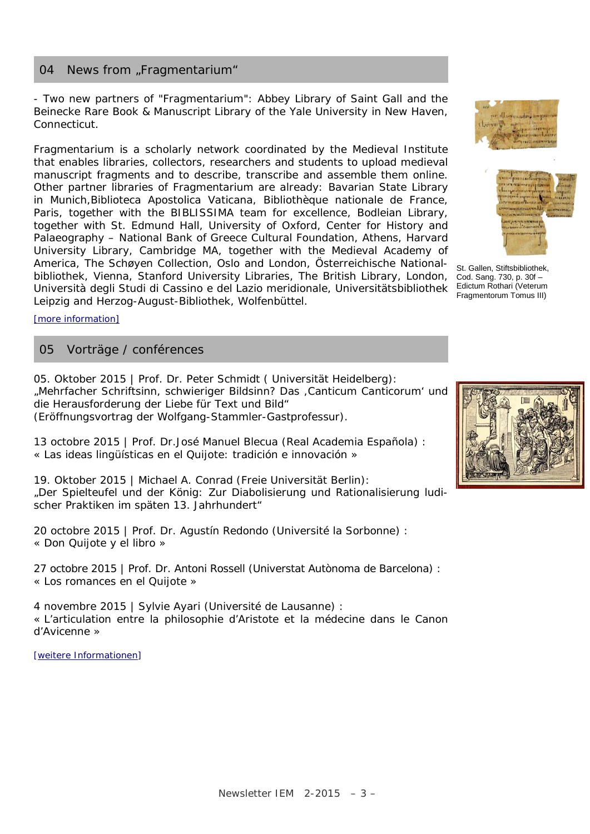# 04 News from "Fragmentarium"

- Two new partners of "Fragmentarium": Abbey Library of Saint Gall and the Beinecke Rare Book & Manuscript Library of the Yale University in New Haven, Connecticut.

Fragmentarium is a scholarly network coordinated by the Medieval Institute that enables libraries, collectors, researchers and students to upload medieval manuscript fragments and to describe, transcribe and assemble them online. Other partner libraries of Fragmentarium are already: Bavarian State Library in Munich,Biblioteca Apostolica Vaticana, Bibliothèque nationale de France, Paris, together with the BIBLISSIMA team for excellence, Bodleian Library, together with St. Edmund Hall, University of Oxford, Center for History and Palaeography – National Bank of Greece Cultural Foundation, Athens, Harvard University Library, Cambridge MA, together with the Medieval Academy of America, The Schøyen Collection, Oslo and London, Österreichische Nationalbibliothek, Vienna, Stanford University Libraries, The British Library, London, Università degli Studi di Cassino e del Lazio meridionale, Universitätsbibliothek Leipzig and Herzog-August-Bibliothek, Wolfenbüttel.





St. Gallen, Stiftsbibliothek, Cod. Sang. 730, p. 30f – Edictum Rothari (Veterum Fragmentorum Tomus III)

[\[more information\]](http://www.e-codices.unifr.ch/newsletter/archive/issue-18.html)

#### 05 Vorträge / conférences

05. Oktober 2015 | Prof. Dr. Peter Schmidt ( Universität Heidelberg): "Mehrfacher Schriftsinn, schwieriger Bildsinn? Das ,Canticum Canticorum' und die Herausforderung der Liebe für Text und Bild" (Eröffnungsvortrag der Wolfgang-Stammler-Gastprofessur).

13 octobre 2015 | Prof. Dr.José Manuel Blecua (Real Academia Española) : « Las ideas lingüísticas en el Quijote: tradición e innovación »

19. Oktober 2015 | Michael A. Conrad (Freie Universität Berlin): "Der Spielteufel und der König: Zur Diabolisierung und Rationalisierung ludischer Praktiken im späten 13. Jahrhundert"

20 octobre 2015 | Prof. Dr. Agustín Redondo (Université la Sorbonne) : « Don Quijote y el libro »

27 octobre 2015 | Prof. Dr. Antoni Rossell (Universtat Autònoma de Barcelona) : « Los romances en el Quijote »

4 novembre 2015 | Sylvie Ayari (Université de Lausanne) : « L'articulation entre la philosophie d'Aristote et la médecine dans le Canon d'Avicenne »

[\[weitere Informationen\]](http://www.mediaevum.unifr.ch/)